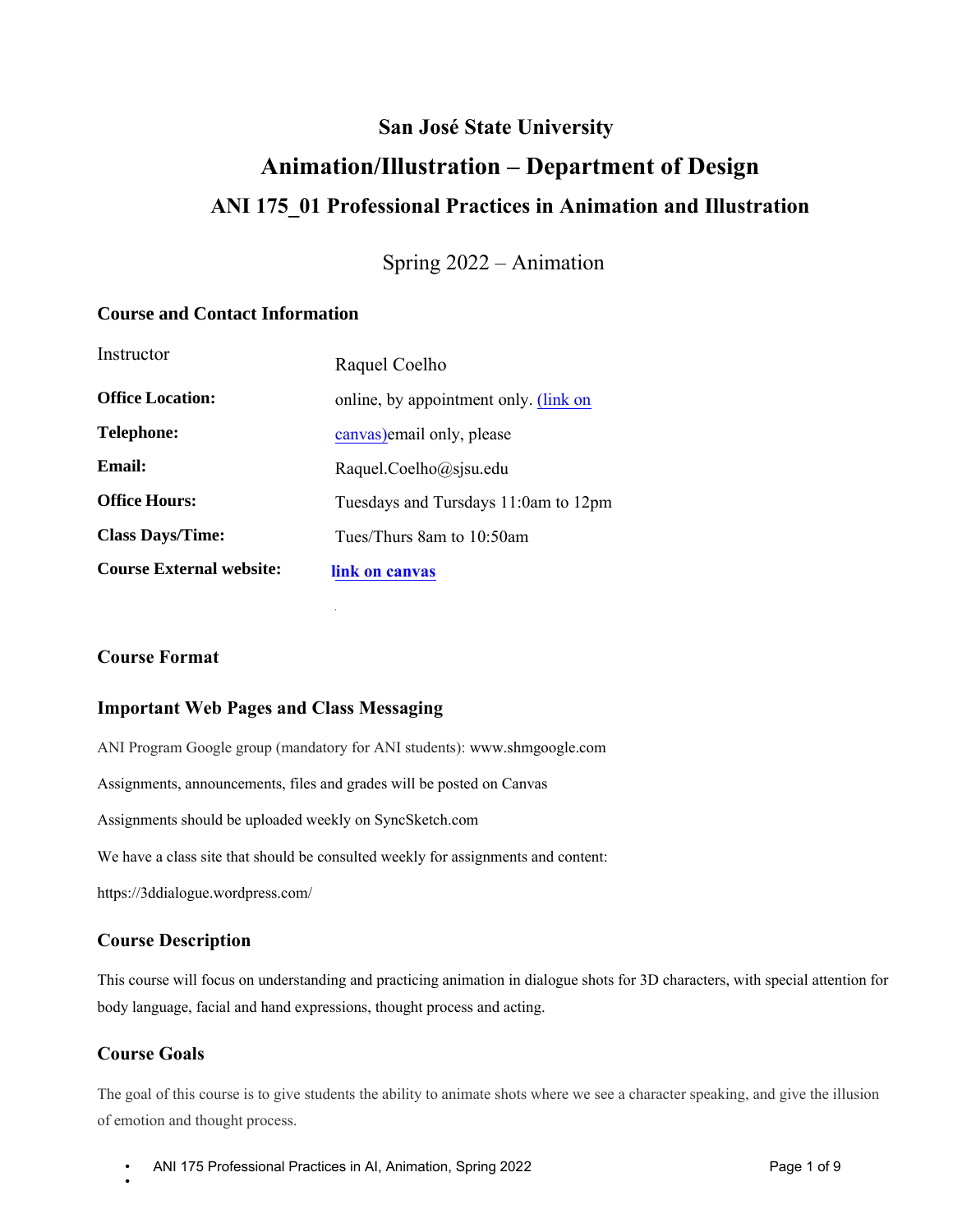## **San José State University**

# **Animation/Illustration – Department of Design ANI 175\_01 Professional Practices in Animation and Illustration**

Spring 2022 – Animation

### **Course and Contact Information**

| Instructor                      | Raquel Coelho                         |
|---------------------------------|---------------------------------------|
| <b>Office Location:</b>         | online, by appointment only. (link on |
| <b>Telephone:</b>               | canvas) email only, please            |
| Email:                          | Raquel.Coelho@sjsu.edu                |
| <b>Office Hours:</b>            | Tuesdays and Tursdays 11:0am to 12pm  |
| <b>Class Days/Time:</b>         | Tues/Thurs 8am to 10:50am             |
| <b>Course External website:</b> | link on canvas                        |

### **Course Format**

### **Important Web Pages and Class Messaging**

ANI Program Google group (mandatory for ANI students): www.shmgoogle.com Assignments, announcements, files and grades will be posted on Canvas Assignments should be uploaded weekly on SyncSketch.com We have a class site that should be consulted weekly for assignments and content: https://3ddialogue.wordpress.com/

### **Course Description**

This course will focus on understanding and practicing animation in dialogue shots for 3D characters, with special attention for body language, facial and hand expressions, thought process and acting.

### **Course Goals**

•

The goal of this course is to give students the ability to animate shots where we see a character speaking, and give the illusion of emotion and thought process.

• ANI 175 Professional Practices in AI, Animation, Spring 2022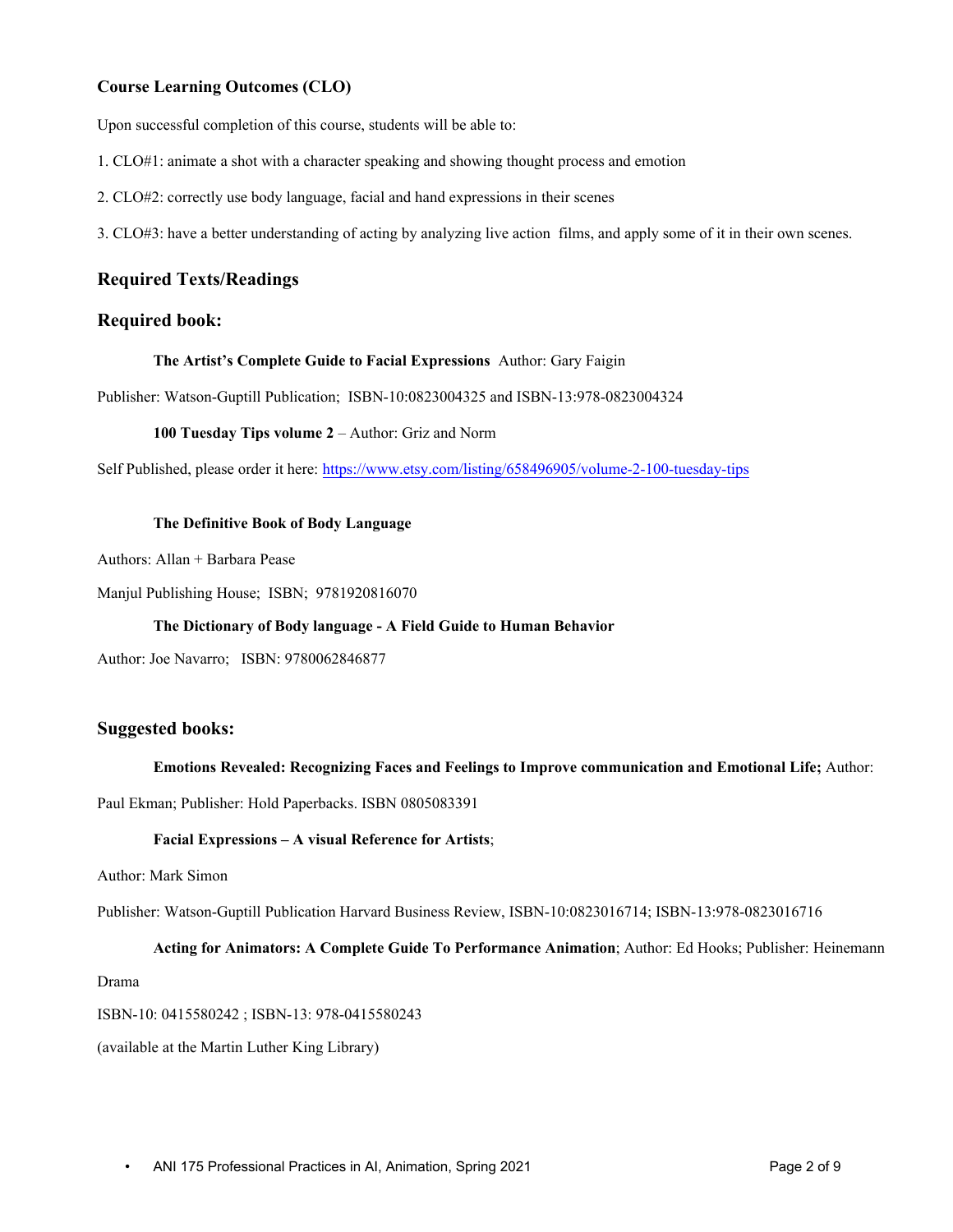#### **Course Learning Outcomes (CLO)**

Upon successful completion of this course, students will be able to:

- 1. CLO#1: animate a shot with a character speaking and showing thought process and emotion
- 2. CLO#2: correctly use body language, facial and hand expressions in their scenes
- 3. CLO#3: have a better understanding of acting by analyzing live action films, and apply some of it in their own scenes.

### **Required Texts/Readings**

### **Required book:**

#### **The Artist's Complete Guide to Facial Expressions** Author: Gary Faigin

Publisher: Watson-Guptill Publication; ISBN-10:0823004325 and ISBN-13:978-0823004324

#### **100 Tuesday Tips volume 2** – Author: Griz and Norm

Self Published, please order it here: https://www.etsy.com/listing/658496905/volume-2-100-tuesday-tips

#### **The Definitive Book of Body Language**

Authors: Allan + Barbara Pease

Manjul Publishing House; ISBN; 9781920816070

#### **The Dictionary of Body language - A Field Guide to Human Behavior**

Author: Joe Navarro; ISBN: 9780062846877

#### **Suggested books:**

#### **Emotions Revealed: Recognizing Faces and Feelings to Improve communication and Emotional Life;** Author:

Paul Ekman; Publisher: Hold Paperbacks. ISBN 0805083391

#### **Facial Expressions – A visual Reference for Artists**;

Author: Mark Simon

Publisher: Watson-Guptill Publication Harvard Business Review, ISBN-10:0823016714; ISBN-13:978-0823016716

#### **Acting for Animators: A Complete Guide To Performance Animation**; Author: Ed Hooks; Publisher: Heinemann

Drama

ISBN-10: 0415580242 ; ISBN-13: 978-0415580243

(available at the Martin Luther King Library)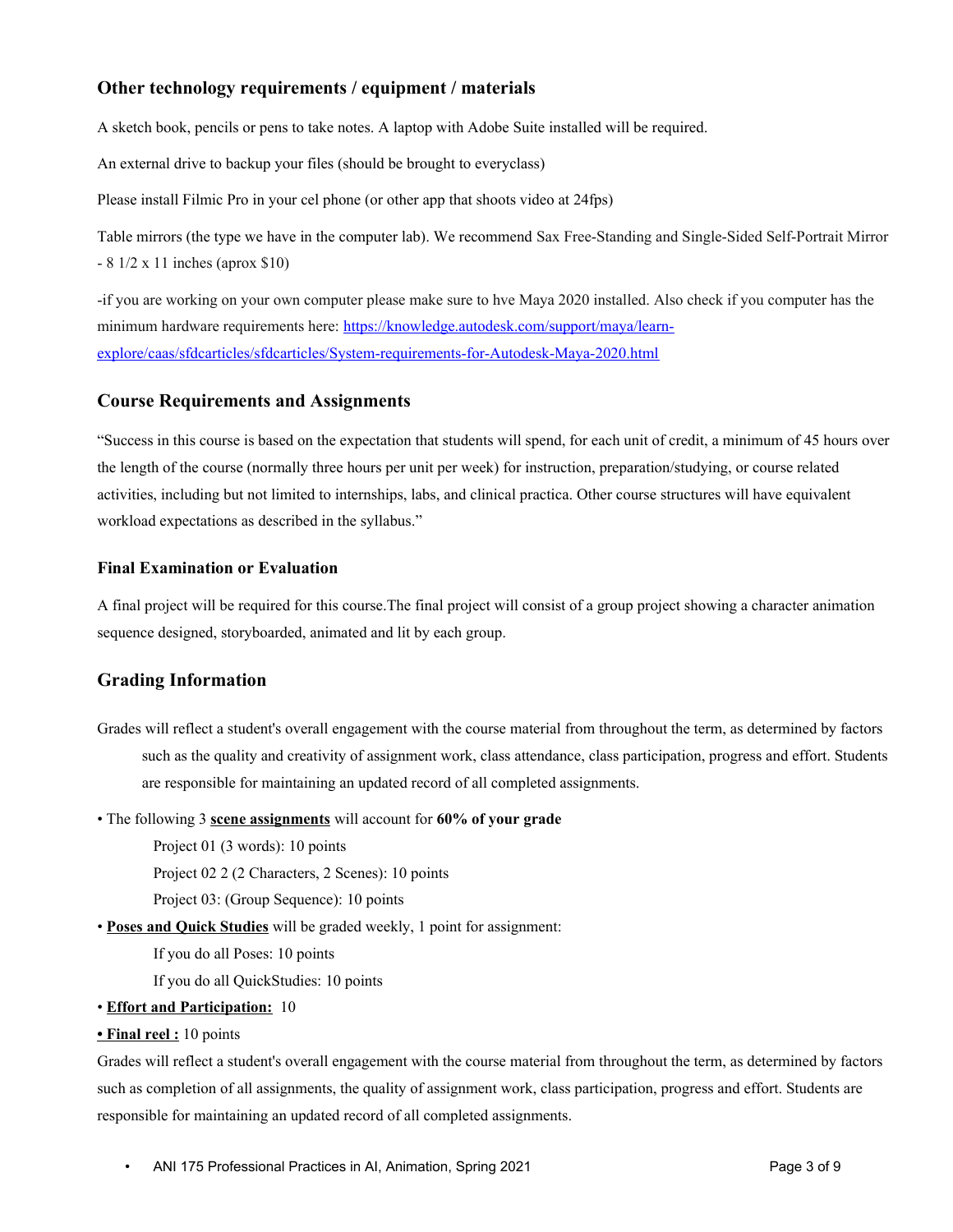### **Other technology requirements / equipment / materials**

A sketch book, pencils or pens to take notes. A laptop with Adobe Suite installed will be required.

An external drive to backup your files (should be brought to everyclass)

Please install Filmic Pro in your cel phone (or other app that shoots video at 24fps)

Table mirrors (the type we have in the computer lab). We recommend Sax Free-Standing and Single-Sided Self-Portrait Mirror - 8 1/2 x 11 inches (aprox \$10)

-if you are working on your own computer please make sure to hve Maya 2020 installed. Also check if you computer has the minimum hardware requirements here: https://knowledge.autodesk.com/support/maya/learnexplore/caas/sfdcarticles/sfdcarticles/System-requirements-for-Autodesk-Maya-2020.html

### **Course Requirements and Assignments**

"Success in this course is based on the expectation that students will spend, for each unit of credit, a minimum of 45 hours over the length of the course (normally three hours per unit per week) for instruction, preparation/studying, or course related activities, including but not limited to internships, labs, and clinical practica. Other course structures will have equivalent workload expectations as described in the syllabus."

### **Final Examination or Evaluation**

A final project will be required for this course.The final project will consist of a group project showing a character animation sequence designed, storyboarded, animated and lit by each group.

### **Grading Information**

- Grades will reflect a student's overall engagement with the course material from throughout the term, as determined by factors such as the quality and creativity of assignment work, class attendance, class participation, progress and effort. Students are responsible for maintaining an updated record of all completed assignments.
- The following 3 **scene assignments** will account for **60% of your grade**

Project 01 (3 words): 10 points

Project 02 2 (2 Characters, 2 Scenes): 10 points

Project 03: (Group Sequence): 10 points

• **Poses and Quick Studies** will be graded weekly, 1 point for assignment:

If you do all Poses: 10 points

If you do all QuickStudies: 10 points

- **Effort and Participation:** 10
- **Final reel :** 10 points

Grades will reflect a student's overall engagement with the course material from throughout the term, as determined by factors such as completion of all assignments, the quality of assignment work, class participation, progress and effort. Students are responsible for maintaining an updated record of all completed assignments.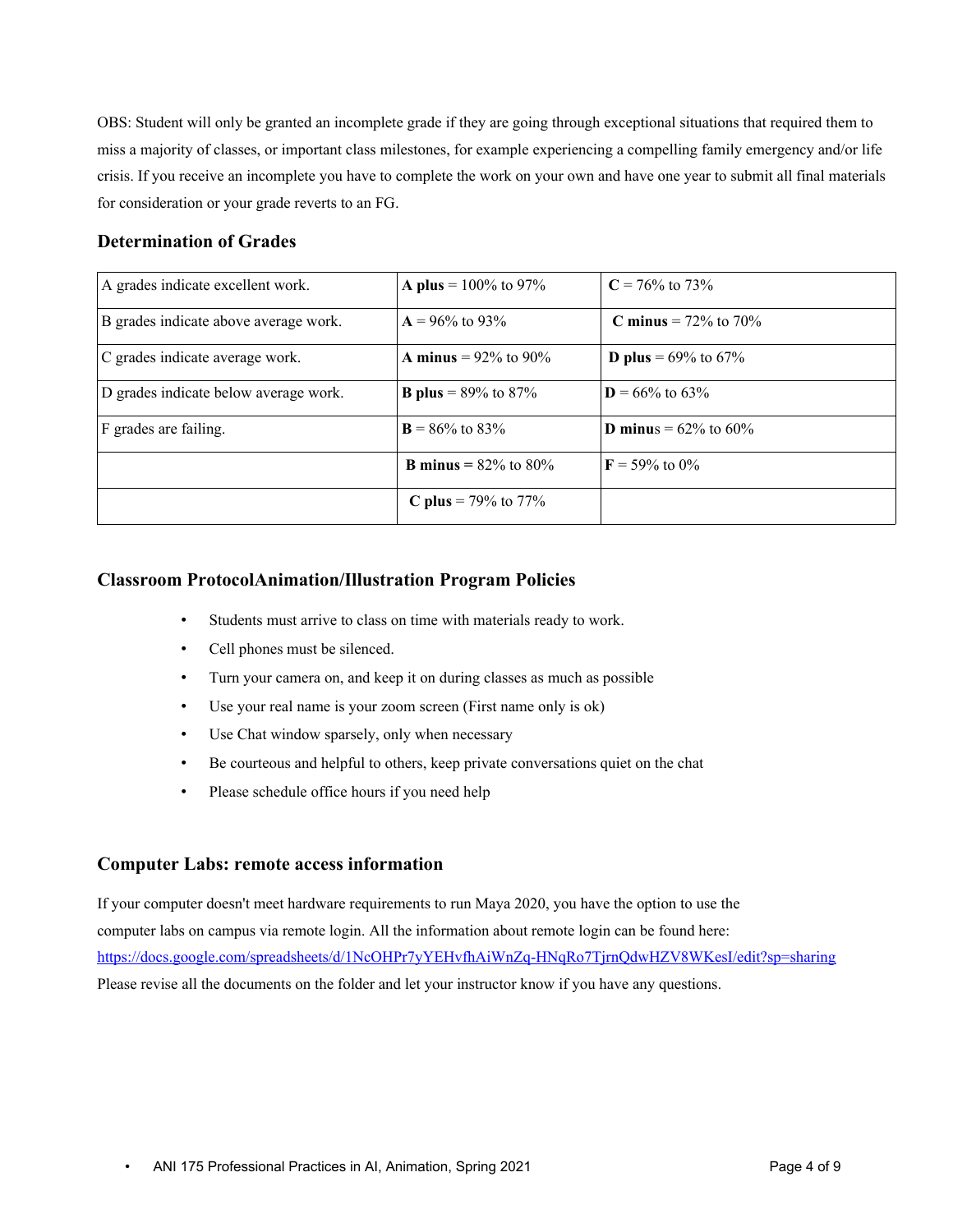OBS: Student will only be granted an incomplete grade if they are going through exceptional situations that required them to miss a majority of classes, or important class milestones, for example experiencing a compelling family emergency and/or life crisis. If you receive an incomplete you have to complete the work on your own and have one year to submit all final materials for consideration or your grade reverts to an FG.

### **Determination of Grades**

| A grades indicate excellent work.     | <b>A</b> plus = $100\%$ to 97%    | $C = 76\%$ to 73\%                |
|---------------------------------------|-----------------------------------|-----------------------------------|
| B grades indicate above average work. | $A = 96\%$ to 93\%                | <b>C</b> minus = $72\%$ to $70\%$ |
| C grades indicate average work.       | <b>A</b> minus = $92\%$ to $90\%$ | <b>D</b> plus = $69\%$ to $67\%$  |
| D grades indicate below average work. | <b>B</b> plus = $89\%$ to $87\%$  | $D = 66\%$ to 63%                 |
| F grades are failing.                 | $\mathbf{B} = 86\%$ to 83\%       | <b>D</b> minus = $62\%$ to $60\%$ |
|                                       | <b>B</b> minus = $82\%$ to $80\%$ | $\mathbf{F} = 59\%$ to $0\%$      |
|                                       | <b>C</b> plus = 79% to 77%        |                                   |

### **Classroom ProtocolAnimation/Illustration Program Policies**

- Students must arrive to class on time with materials ready to work.
- Cell phones must be silenced.
- Turn your camera on, and keep it on during classes as much as possible
- Use your real name is your zoom screen (First name only is ok)
- Use Chat window sparsely, only when necessary
- Be courteous and helpful to others, keep private conversations quiet on the chat
- Please schedule office hours if you need help

### **Computer Labs: remote access information**

If your computer doesn't meet hardware requirements to run Maya 2020, you have the option to use the computer labs on campus via remote login. All the information about remote login can be found here: https://docs.google.com/spreadsheets/d/1NcOHPr7yYEHvfhAiWnZq-HNqRo7TjrnQdwHZV8WKesI/edit?sp=sharing Please revise all the documents on the folder and let your instructor know if you have any questions.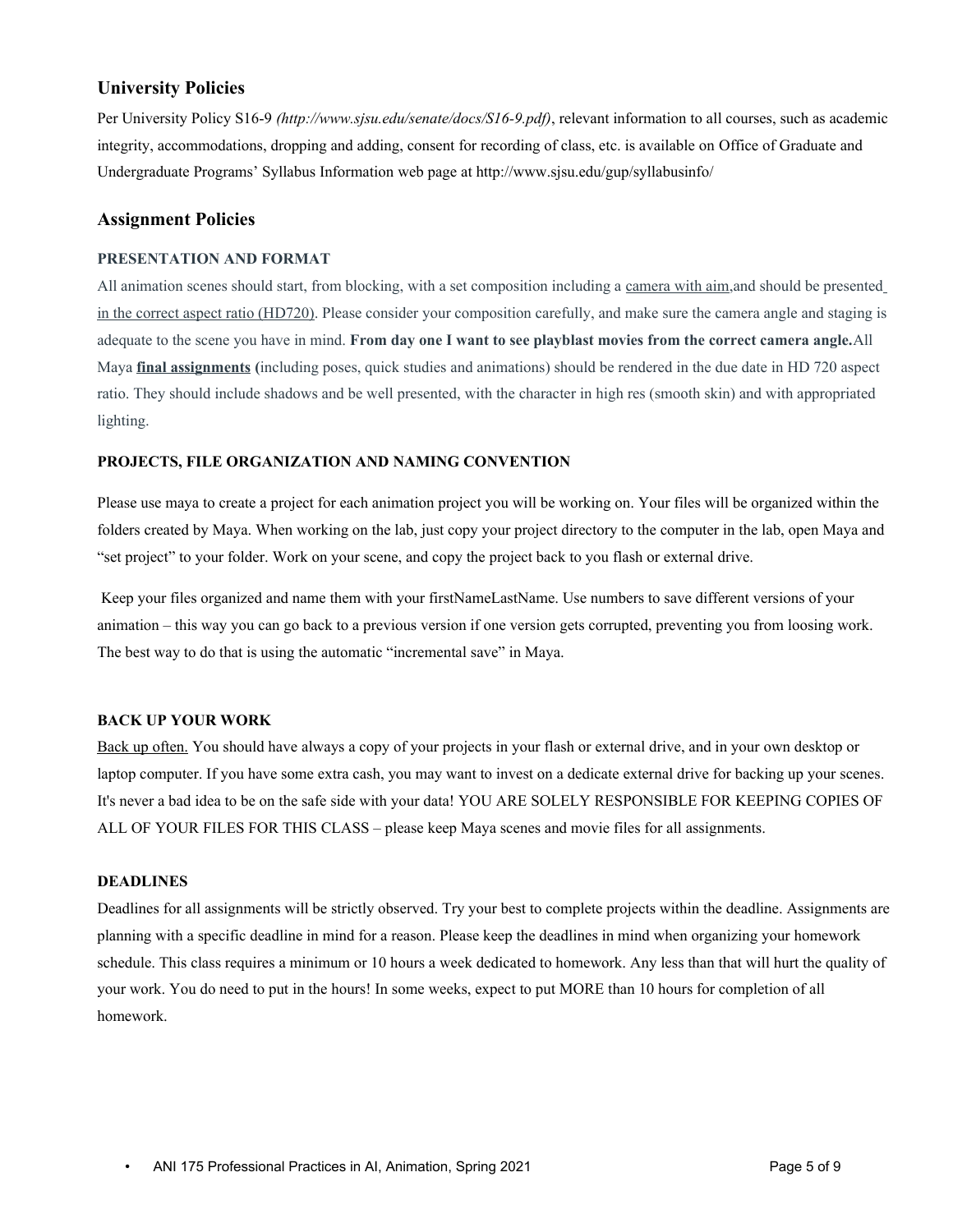### **University Policies**

Per University Policy S16-9 *(http://www.sjsu.edu/senate/docs/S16-9.pdf)*, relevant information to all courses, such as academic integrity, accommodations, dropping and adding, consent for recording of class, etc. is available on Office of Graduate and Undergraduate Programs' Syllabus Information web page at http://www.sjsu.edu/gup/syllabusinfo/

### **Assignment Policies**

#### **PRESENTATION AND FORMAT**

All animation scenes should start, from blocking, with a set composition including a camera with aim, and should be presented in the correct aspect ratio (HD720). Please consider your composition carefully, and make sure the camera angle and staging is adequate to the scene you have in mind. **From day one I want to see playblast movies from the correct camera angle.**All Maya **final assignments (**including poses, quick studies and animations) should be rendered in the due date in HD 720 aspect ratio. They should include shadows and be well presented, with the character in high res (smooth skin) and with appropriated lighting.

#### **PROJECTS, FILE ORGANIZATION AND NAMING CONVENTION**

Please use maya to create a project for each animation project you will be working on. Your files will be organized within the folders created by Maya. When working on the lab, just copy your project directory to the computer in the lab, open Maya and "set project" to your folder. Work on your scene, and copy the project back to you flash or external drive.

Keep your files organized and name them with your firstNameLastName. Use numbers to save different versions of your animation – this way you can go back to a previous version if one version gets corrupted, preventing you from loosing work. The best way to do that is using the automatic "incremental save" in Maya.

#### **BACK UP YOUR WORK**

Back up often. You should have always a copy of your projects in your flash or external drive, and in your own desktop or laptop computer. If you have some extra cash, you may want to invest on a dedicate external drive for backing up your scenes. It's never a bad idea to be on the safe side with your data! YOU ARE SOLELY RESPONSIBLE FOR KEEPING COPIES OF ALL OF YOUR FILES FOR THIS CLASS – please keep Maya scenes and movie files for all assignments.

#### **DEADLINES**

Deadlines for all assignments will be strictly observed. Try your best to complete projects within the deadline. Assignments are planning with a specific deadline in mind for a reason. Please keep the deadlines in mind when organizing your homework schedule. This class requires a minimum or 10 hours a week dedicated to homework. Any less than that will hurt the quality of your work. You do need to put in the hours! In some weeks, expect to put MORE than 10 hours for completion of all homework.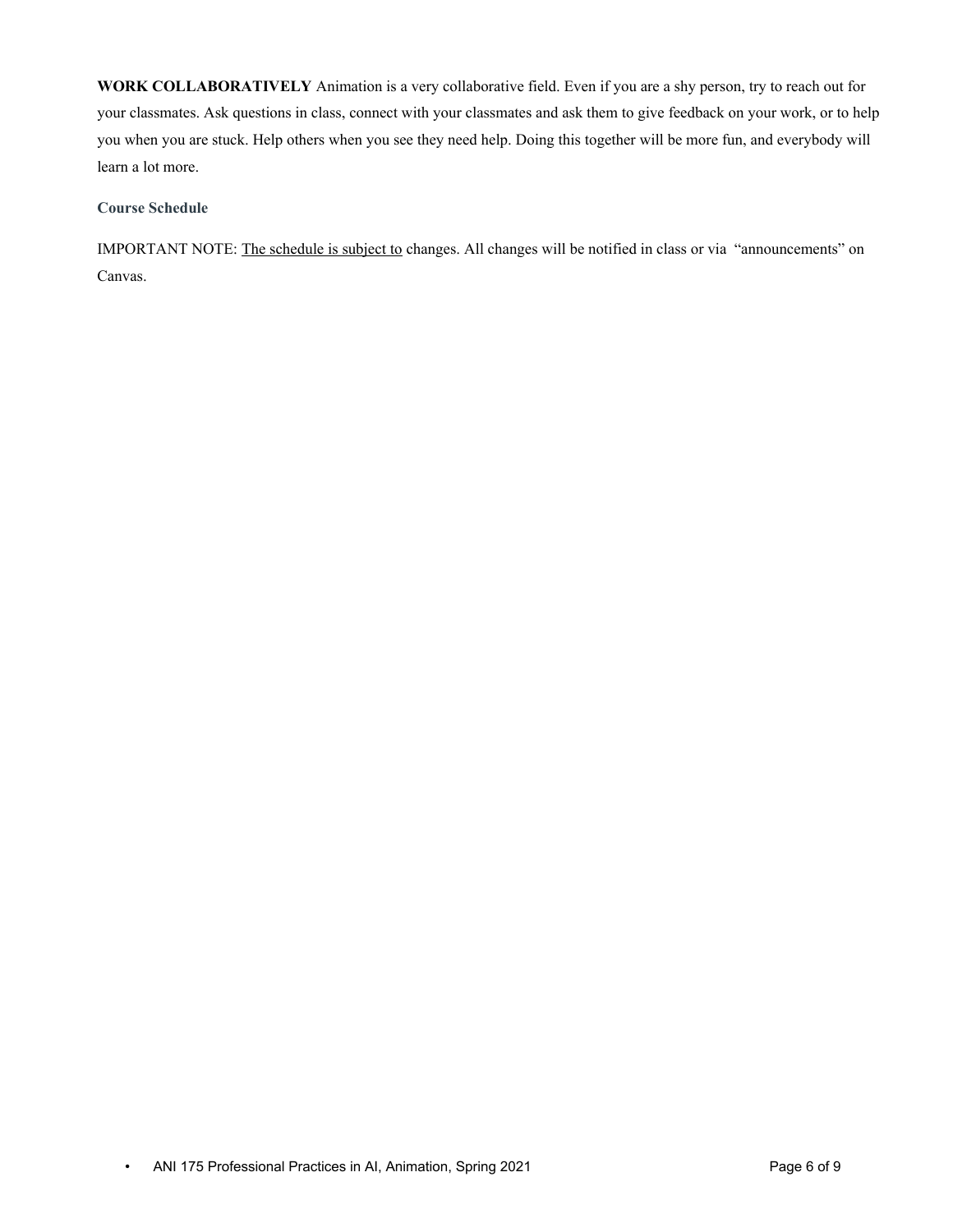**WORK COLLABORATIVELY** Animation is a very collaborative field. Even if you are a shy person, try to reach out for your classmates. Ask questions in class, connect with your classmates and ask them to give feedback on your work, or to help you when you are stuck. Help others when you see they need help. Doing this together will be more fun, and everybody will learn a lot more.

### **Course Schedule**

IMPORTANT NOTE: The schedule is subject to changes. All changes will be notified in class or via "announcements" on Canvas.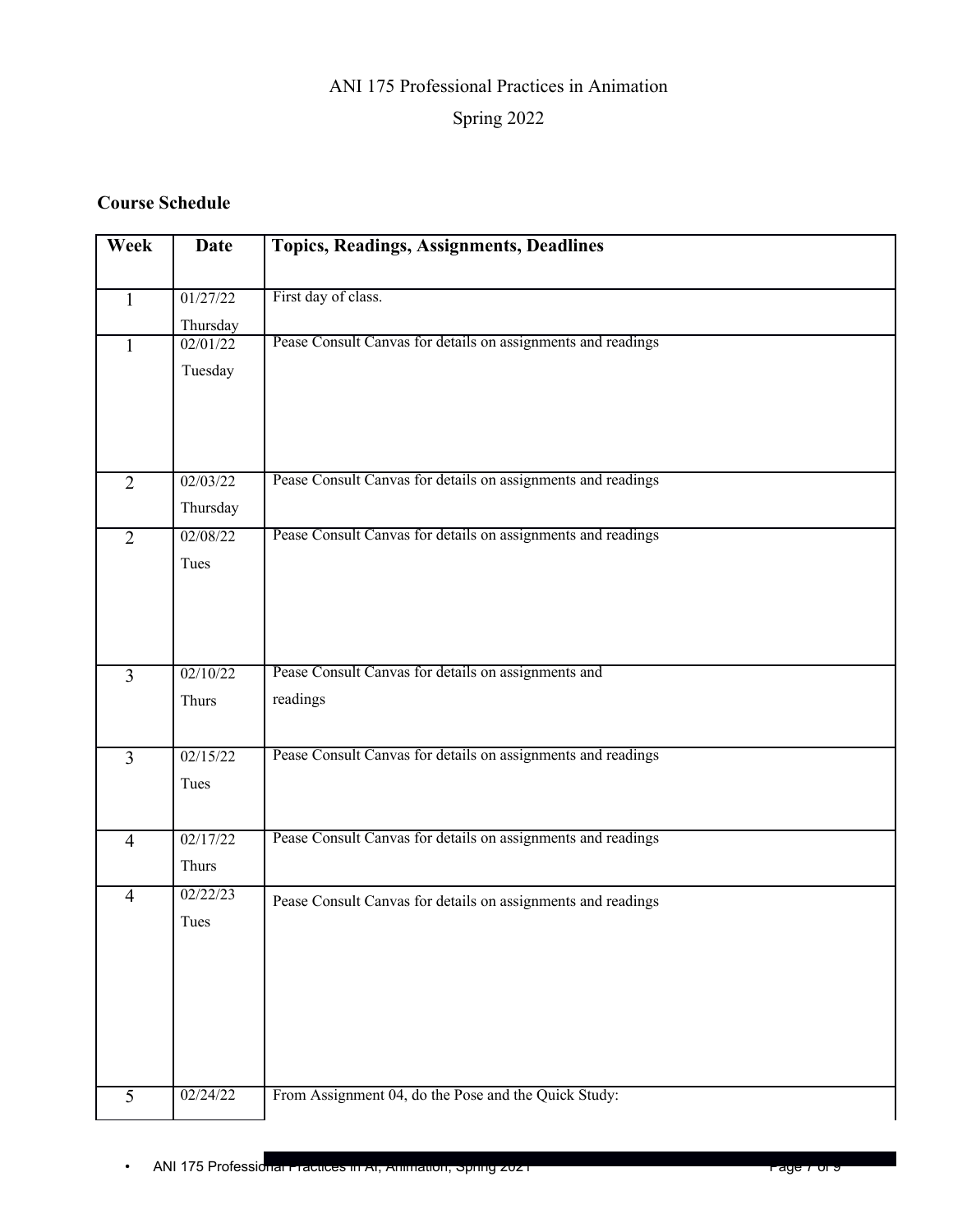# ANI 175 Professional Practices in Animation

# Spring 2022

# **Course Schedule**

| Week           | Date                 | <b>Topics, Readings, Assignments, Deadlines</b>              |
|----------------|----------------------|--------------------------------------------------------------|
| $\mathbf{1}$   | 01/27/22<br>Thursday | First day of class.                                          |
| $\mathbf{1}$   | 02/01/22             | Pease Consult Canvas for details on assignments and readings |
|                | Tuesday              |                                                              |
|                |                      |                                                              |
|                |                      |                                                              |
| $\overline{2}$ | 02/03/22             | Pease Consult Canvas for details on assignments and readings |
|                | Thursday             |                                                              |
| $\overline{2}$ | 02/08/22             | Pease Consult Canvas for details on assignments and readings |
|                | Tues                 |                                                              |
|                |                      |                                                              |
|                |                      |                                                              |
|                |                      |                                                              |
| $\overline{3}$ | 02/10/22             | Pease Consult Canvas for details on assignments and          |
|                |                      | readings                                                     |
|                | Thurs                |                                                              |
|                |                      |                                                              |
| $\overline{3}$ | 02/15/22             | Pease Consult Canvas for details on assignments and readings |
|                | Tues                 |                                                              |
|                |                      |                                                              |
| $\overline{4}$ | 02/17/22             | Pease Consult Canvas for details on assignments and readings |
|                | Thurs                |                                                              |
| $\overline{4}$ | 02/22/23             |                                                              |
|                | Tues                 | Pease Consult Canvas for details on assignments and readings |
|                |                      |                                                              |
|                |                      |                                                              |
|                |                      |                                                              |
|                |                      |                                                              |
|                |                      |                                                              |
|                |                      |                                                              |
| 5              | 02/24/22             | From Assignment 04, do the Pose and the Quick Study:         |
|                |                      |                                                              |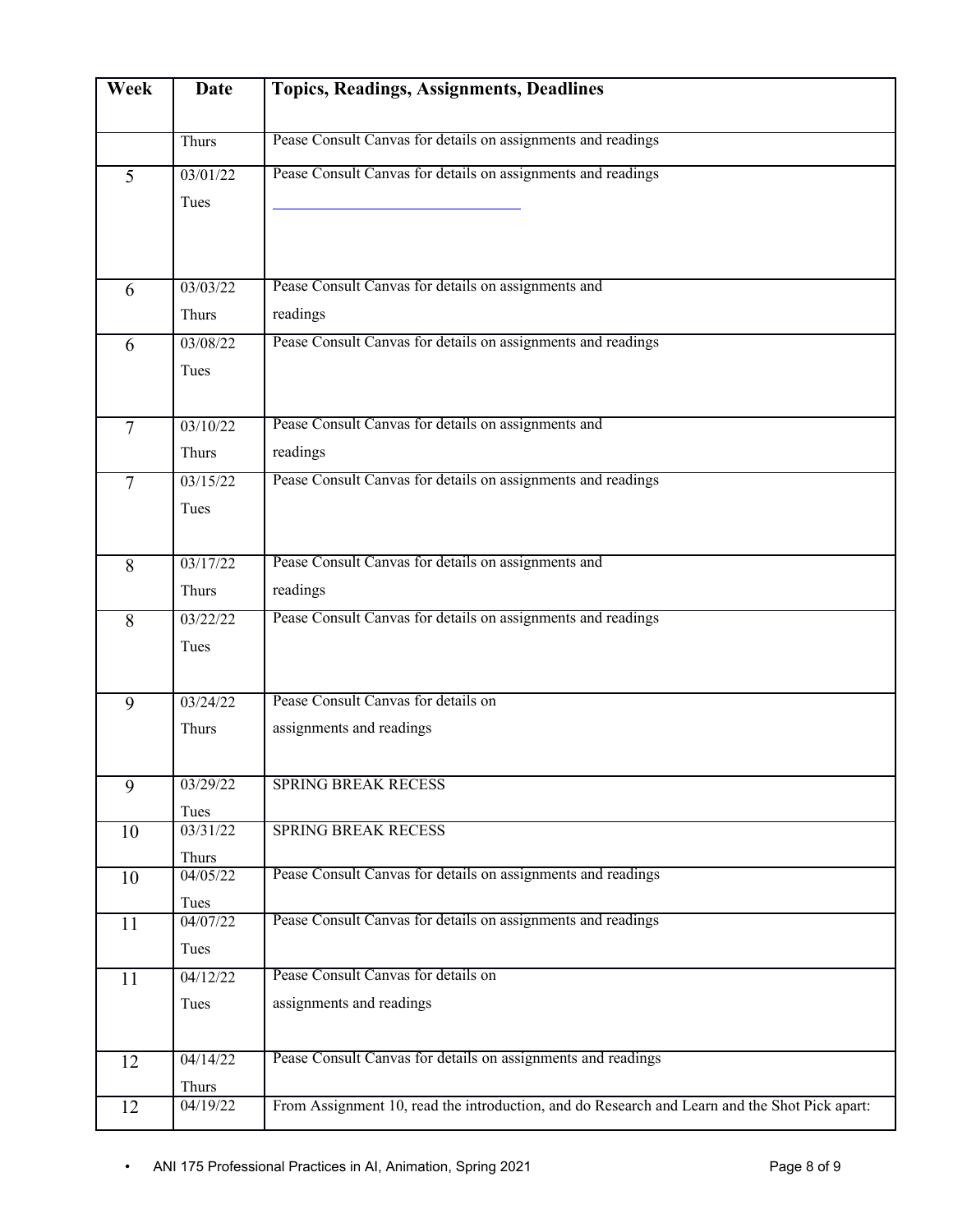| Week           | <b>Date</b>       | <b>Topics, Readings, Assignments, Deadlines</b>                                               |
|----------------|-------------------|-----------------------------------------------------------------------------------------------|
|                | Thurs             | Pease Consult Canvas for details on assignments and readings                                  |
| $\overline{5}$ | 03/01/22          | Pease Consult Canvas for details on assignments and readings                                  |
|                | Tues              |                                                                                               |
|                |                   |                                                                                               |
| 6              | 03/03/22          | Pease Consult Canvas for details on assignments and                                           |
|                | Thurs             | readings                                                                                      |
| 6              | 03/08/22          | Pease Consult Canvas for details on assignments and readings                                  |
|                | Tues              |                                                                                               |
|                |                   |                                                                                               |
| $\overline{7}$ | 03/10/22          | Pease Consult Canvas for details on assignments and                                           |
|                | Thurs             | readings                                                                                      |
| $\overline{7}$ | 03/15/22          | Pease Consult Canvas for details on assignments and readings                                  |
|                | Tues              |                                                                                               |
|                |                   |                                                                                               |
| 8              | 03/17/22          | Pease Consult Canvas for details on assignments and                                           |
|                | Thurs             | readings                                                                                      |
| 8              | 03/22/22          | Pease Consult Canvas for details on assignments and readings                                  |
|                | Tues              |                                                                                               |
| 9              | 03/24/22          | Pease Consult Canvas for details on                                                           |
|                | Thurs             | assignments and readings                                                                      |
|                |                   |                                                                                               |
| 9              | 03/29/22          | <b>SPRING BREAK RECESS</b>                                                                    |
|                | Tues              |                                                                                               |
| 10             | 03/31/22          | <b>SPRING BREAK RECESS</b>                                                                    |
| 10             | Thurs<br>04/05/22 | Pease Consult Canvas for details on assignments and readings                                  |
|                | Tues              |                                                                                               |
| 11             | 04/07/22          | Pease Consult Canvas for details on assignments and readings                                  |
|                | Tues              |                                                                                               |
| 11             | 04/12/22          | Pease Consult Canvas for details on                                                           |
|                | Tues              | assignments and readings                                                                      |
| 12             | 04/14/22          | Pease Consult Canvas for details on assignments and readings                                  |
|                | Thurs             |                                                                                               |
| 12             | 04/19/22          | From Assignment 10, read the introduction, and do Research and Learn and the Shot Pick apart: |